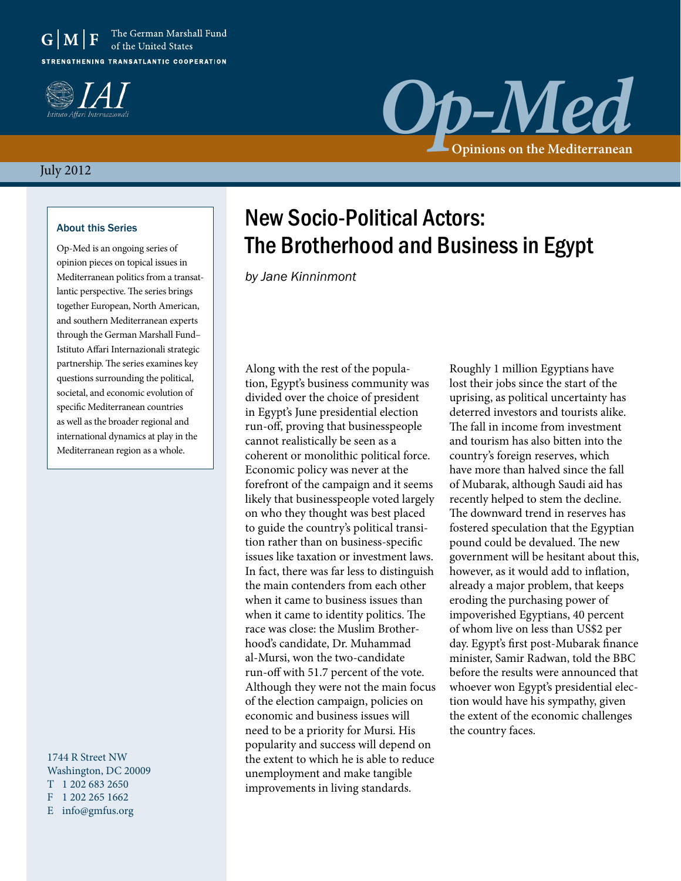



# *Op-Med* **Opinions on the Mediterranean**

### July 2012

#### About this Series

Op-Med is an ongoing series of opinion pieces on topical issues in Mediterranean politics from a transatlantic perspective. The series brings together European, North American, and southern Mediterranean experts through the German Marshall Fund– Istituto Affari Internazionali strategic partnership. The series examines key questions surrounding the political, societal, and economic evolution of specific Mediterranean countries as well as the broader regional and international dynamics at play in the Mediterranean region as a whole.

1744 R Street NW Washington, DC 20009 T 1 202 683 2650 F 1 202 265 1662 E info@gmfus.org

### New Socio-Political Actors: The Brotherhood and Business in Egypt

*by Jane Kinninmont*

Along with the rest of the population, Egypt's business community was divided over the choice of president in Egypt's June presidential election run-off, proving that businesspeople cannot realistically be seen as a coherent or monolithic political force. Economic policy was never at the forefront of the campaign and it seems likely that businesspeople voted largely on who they thought was best placed to guide the country's political transition rather than on business-specific issues like taxation or investment laws. In fact, there was far less to distinguish the main contenders from each other when it came to business issues than when it came to identity politics. The race was close: the Muslim Brotherhood's candidate, Dr. Muhammad al-Mursi, won the two-candidate run-off with 51.7 percent of the vote. Although they were not the main focus of the election campaign, policies on economic and business issues will need to be a priority for Mursi. His popularity and success will depend on the extent to which he is able to reduce unemployment and make tangible improvements in living standards.

Roughly 1 million Egyptians have lost their jobs since the start of the uprising, as political uncertainty has deterred investors and tourists alike. The fall in income from investment and tourism has also bitten into the country's foreign reserves, which have more than halved since the fall of Mubarak, although Saudi aid has recently helped to stem the decline. The downward trend in reserves has fostered speculation that the Egyptian pound could be devalued. The new government will be hesitant about this, however, as it would add to inflation, already a major problem, that keeps eroding the purchasing power of impoverished Egyptians, 40 percent of whom live on less than US\$2 per day. Egypt's first post-Mubarak finance minister, Samir Radwan, told the BBC before the results were announced that whoever won Egypt's presidential election would have his sympathy, given the extent of the economic challenges the country faces.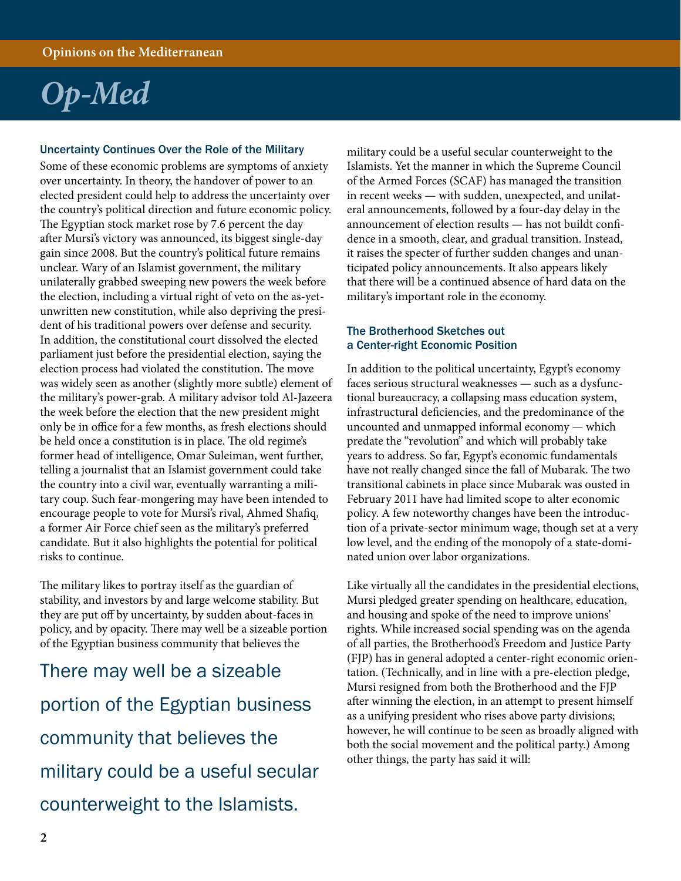## *Op-Med*

### Uncertainty Continues Over the Role of the Military

Some of these economic problems are symptoms of anxiety over uncertainty. In theory, the handover of power to an elected president could help to address the uncertainty over the country's political direction and future economic policy. The Egyptian stock market rose by 7.6 percent the day after Mursi's victory was announced, its biggest single-day gain since 2008. But the country's political future remains unclear. Wary of an Islamist government, the military unilaterally grabbed sweeping new powers the week before the election, including a virtual right of veto on the as-yetunwritten new constitution, while also depriving the president of his traditional powers over defense and security. In addition, the constitutional court dissolved the elected parliament just before the presidential election, saying the election process had violated the constitution. The move was widely seen as another (slightly more subtle) element of the military's power-grab. A military advisor told Al-Jazeera the week before the election that the new president might only be in office for a few months, as fresh elections should be held once a constitution is in place. The old regime's former head of intelligence, Omar Suleiman, went further, telling a journalist that an Islamist government could take the country into a civil war, eventually warranting a military coup. Such fear-mongering may have been intended to encourage people to vote for Mursi's rival, Ahmed Shafiq, a former Air Force chief seen as the military's preferred candidate. But it also highlights the potential for political risks to continue.

The military likes to portray itself as the guardian of stability, and investors by and large welcome stability. But they are put off by uncertainty, by sudden about-faces in policy, and by opacity. There may well be a sizeable portion of the Egyptian business community that believes the

There may well be a sizeable portion of the Egyptian business community that believes the military could be a useful secular counterweight to the Islamists.

military could be a useful secular counterweight to the Islamists. Yet the manner in which the Supreme Council of the Armed Forces (SCAF) has managed the transition in recent weeks — with sudden, unexpected, and unilateral announcements, followed by a four-day delay in the announcement of election results — has not buildt confidence in a smooth, clear, and gradual transition. Instead, it raises the specter of further sudden changes and unanticipated policy announcements. It also appears likely that there will be a continued absence of hard data on the military's important role in the economy.

### The Brotherhood Sketches out a Center-right Economic Position

In addition to the political uncertainty, Egypt's economy faces serious structural weaknesses — such as a dysfunctional bureaucracy, a collapsing mass education system, infrastructural deficiencies, and the predominance of the uncounted and unmapped informal economy — which predate the "revolution" and which will probably take years to address. So far, Egypt's economic fundamentals have not really changed since the fall of Mubarak. The two transitional cabinets in place since Mubarak was ousted in February 2011 have had limited scope to alter economic policy. A few noteworthy changes have been the introduction of a private-sector minimum wage, though set at a very low level, and the ending of the monopoly of a state-dominated union over labor organizations.

Like virtually all the candidates in the presidential elections, Mursi pledged greater spending on healthcare, education, and housing and spoke of the need to improve unions' rights. While increased social spending was on the agenda of all parties, the Brotherhood's Freedom and Justice Party (FJP) has in general adopted a center-right economic orientation. (Technically, and in line with a pre-election pledge, Mursi resigned from both the Brotherhood and the FJP after winning the election, in an attempt to present himself as a unifying president who rises above party divisions; however, he will continue to be seen as broadly aligned with both the social movement and the political party.) Among other things, the party has said it will: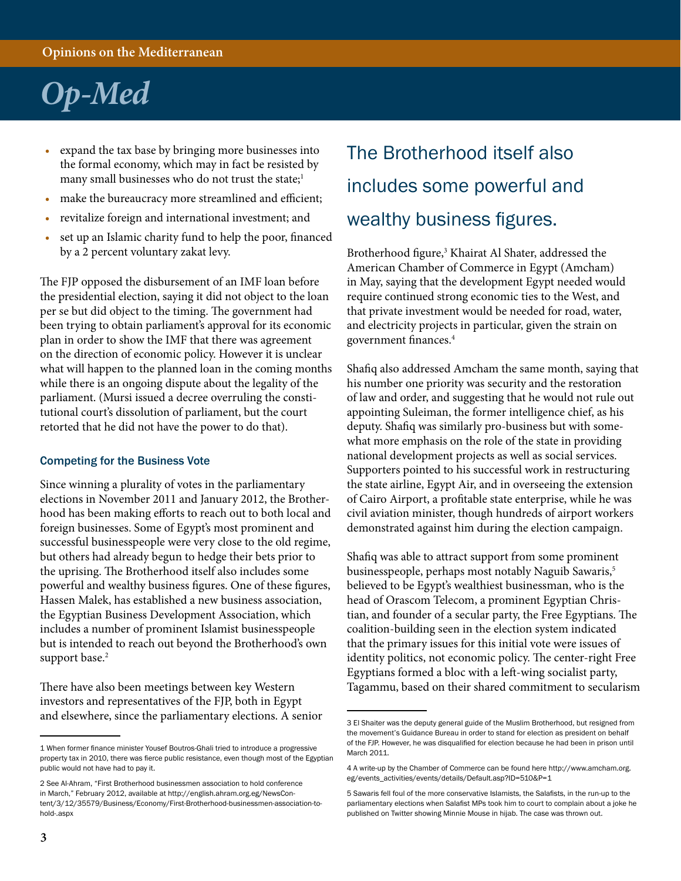## *Op-Med*

- expand the tax base by bringing more businesses into the formal economy, which may in fact be resisted by many small businesses who do not trust the state;<sup>1</sup>
- make the bureaucracy more streamlined and efficient;
- revitalize foreign and international investment; and
- set up an Islamic charity fund to help the poor, financed by a 2 percent voluntary zakat levy.

The FJP opposed the disbursement of an IMF loan before the presidential election, saying it did not object to the loan per se but did object to the timing. The government had been trying to obtain parliament's approval for its economic plan in order to show the IMF that there was agreement on the direction of economic policy. However it is unclear what will happen to the planned loan in the coming months while there is an ongoing dispute about the legality of the parliament. (Mursi issued a decree overruling the constitutional court's dissolution of parliament, but the court retorted that he did not have the power to do that).

#### Competing for the Business Vote

Since winning a plurality of votes in the parliamentary elections in November 2011 and January 2012, the Brotherhood has been making efforts to reach out to both local and foreign businesses. Some of Egypt's most prominent and successful businesspeople were very close to the old regime, but others had already begun to hedge their bets prior to the uprising. The Brotherhood itself also includes some powerful and wealthy business figures. One of these figures, Hassen Malek, has established a new business association, the Egyptian Business Development Association, which includes a number of prominent Islamist businesspeople but is intended to reach out beyond the Brotherhood's own support base.<sup>2</sup>

There have also been meetings between key Western investors and representatives of the FJP, both in Egypt and elsewhere, since the parliamentary elections. A senior

### The Brotherhood itself also includes some powerful and wealthy business figures.

Brotherhood figure,<sup>3</sup> Khairat Al Shater, addressed the American Chamber of Commerce in Egypt (Amcham) in May, saying that the development Egypt needed would require continued strong economic ties to the West, and that private investment would be needed for road, water, and electricity projects in particular, given the strain on government finances.4

Shafiq also addressed Amcham the same month, saying that his number one priority was security and the restoration of law and order, and suggesting that he would not rule out appointing Suleiman, the former intelligence chief, as his deputy. Shafiq was similarly pro-business but with somewhat more emphasis on the role of the state in providing national development projects as well as social services. Supporters pointed to his successful work in restructuring the state airline, Egypt Air, and in overseeing the extension of Cairo Airport, a profitable state enterprise, while he was civil aviation minister, though hundreds of airport workers demonstrated against him during the election campaign.

Shafiq was able to attract support from some prominent businesspeople, perhaps most notably Naguib Sawaris,<sup>5</sup> believed to be Egypt's wealthiest businessman, who is the head of Orascom Telecom, a prominent Egyptian Christian, and founder of a secular party, the Free Egyptians. The coalition-building seen in the election system indicated that the primary issues for this initial vote were issues of identity politics, not economic policy. The center-right Free Egyptians formed a bloc with a left-wing socialist party, Tagammu, based on their shared commitment to secularism

<sup>1</sup> When former finance minister Yousef Boutros-Ghali tried to introduce a progressive property tax in 2010, there was fierce public resistance, even though most of the Egyptian public would not have had to pay it.

<sup>2</sup> See Al-Ahram, "First Brotherhood businessmen association to hold conference in March," February 2012, available at [http://english.ahram.org.eg/NewsCon](http://english.ahram.org.eg/NewsContent/3/12/35579/Business/Economy/First-Brotherhood-businessmen-association-to-hold-.aspx)[tent/3/12/35579/Business/Economy/First-Brotherhood-businessmen-association-to](http://english.ahram.org.eg/NewsContent/3/12/35579/Business/Economy/First-Brotherhood-businessmen-association-to-hold-.aspx)[hold-.aspx](http://english.ahram.org.eg/NewsContent/3/12/35579/Business/Economy/First-Brotherhood-businessmen-association-to-hold-.aspx)

<sup>3</sup> El Shaiter was the deputy general guide of the Muslim Brotherhood, but resigned from the movement's Guidance Bureau in order to stand for election as president on behalf of the FJP. However, he was disqualified for election because he had been in prison until March 2011.

<sup>4</sup> A write-up by the Chamber of Commerce can be found here [http://www.amcham.org.](http://www.amcham.org.eg/events_activities/events/details/Default.asp?ID=510&P=1) [eg/events\\_activities/events/details/Default.asp?ID=510&P=1](http://www.amcham.org.eg/events_activities/events/details/Default.asp?ID=510&P=1)

<sup>5</sup> Sawaris fell foul of the more conservative Islamists, the Salafists, in the run-up to the parliamentary elections when Salafist MPs took him to court to complain about a joke he published on Twitter showing Minnie Mouse in hijab. The case was thrown out.